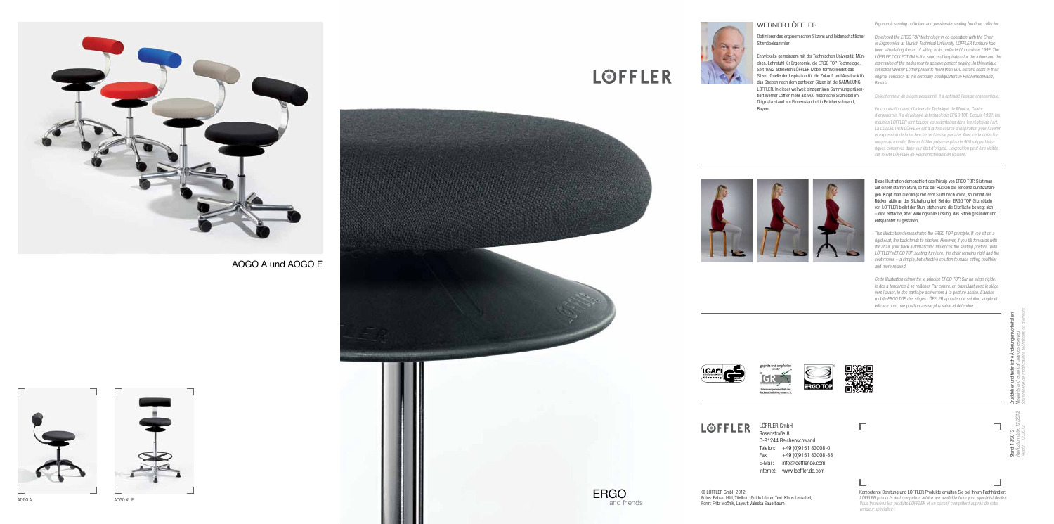© LÖFFLER GmbH 2012 Fotos: Fabian Hild, Titelfoto: Guido Löhrer, Text: Klaus Leuschel, Form: Fritz Mocnik, Layout: Valeska Sauerbaum

LÖFFLER LÖFFLER GmbH



AOGO A und AOGO E



### WERNER LÖFFLER

Optimierer des ergonomischen Sitzens und leidenschaftlicher Sitzmöbelsammler

Entwickelte gemeinsam mit der Technischen Universität Mün chen, Lehrstuhl für Ergonomie, die ERGO TOP-Technologie. Seit 1992 aktivieren LÖFFLER Möbel formvollendet das Sitzen. Quelle der Inspiration für die Zukunft und Ausdruck für das Streben nach dem perfekten Sitzen ist die SAMMLUNG LÖFFLER. In dieser weltweit einzigartigen Sammlung präsen tiert Werner Löffler mehr als 900 historische Sitzmöbel im Originalzustand am Firmenstandort in Reichenschwand, Bayern.

Ergonomic seating optimiser and passionate seating furniture collector

Developed the ERGO TOP technology in co-operation with the Chair of Ergonomics at Munich Technical University. LÖFFLER furniture has been stimulating the art of sitting in its perfected form since 1992. The LÖFFLER COLLECTION is the source of inspiration for the future and the expression of the endeavour to achieve perfect seating. In this unique collection Werner Löffler presents more than 900 historic seats in their original condition at the company headquarters in Reichenschwand, Bavaria.

Rosenstraße 8

D-91244 Reichenschwand Telefon: +49 (0)9151 83008-0 Fax: +49 (0)9151 83008-88 E-Mail: info@loeffler.de.com Internet: www.loeffler.de.com





 $\Box$ 

Diese Illustration demonstriert das Prinzip von ERGO TOP. Sitzt man auf einem starren Stuhl, so hat der Rücken die Tendenz durchzuhän gen. Kippt man allerdings mit dem Stuhl nach vorne, so nimmt der Rücken aktiv an der Sitzhaltung teil. Bei den ERGO TOP-Sitzmöbeln von LÖFFLER bleibt der Stuhl stehen und die Sitzfläche bewegt sich – eine einfache, aber wirkungsvolle Lösung, das Sitzen gesünder und entspannter zu gestalten.

This illustration demonstrates the ERGO TOP principle. If you sit on a rigid seat, the back tends to slacken. However, if you tilt forwards with the chair, your back automatically influences the seating posture. With LÖFFLER's ERGO TOP seating furniture, the chair remains rigid and the seat moves – a simple, but effective solution to make sitting healthier and more relaxed.

Cette illustration démontre le principe ERGO TOP. Sur un siège rigide, le dos a tendance à se relâcher. Par contre, en basculant avec le siège vers l'avant, le dos participe activement à la posture assise. L'assise mobile ERGO TOP des sièges LÖFFLER apporte une solution simple et efficace pour une position assise plus saine et détendue.









**LOFFLER** 

# and friends

Collectionneur de sièges passionné, il a optimisé l'assise ergonomique.

En coopération avec l'Université Technique de Munich, Chaire d'ergonomie, il a développé la technologie ERGO TOP. Depuis 1992, les meubles LÖFFLER font bouger les sédentaires dans les règles de l'art. La COLLECTION LÖFFLER est à la fois source d'inspiration pour l'avenir et expression de la recherche de l'assise parfaite. Avec cette collection unique au monde, Werner Löffler présente plus de 900 sièges histo riques conservés dans leur état d'origine. L'exposition peut être visitée sur le site LÖFFLER de Reichenschwand en Bavière.

Stand: 12/2012 Druckfehler und technische Änderungen vorbehalten Publication date: 12/2012 Misprints and technical changes reserved



Version : 12/2012 Sous réserve de modifications techniques ou d'erreurs

Kompetente Beratung und LÖFFLER Produkte erhalten Sie bei Ihrem Fachhändler: LÖFFLER products and competent advice are available from your specialist dealer: Vous trouverez les produits LÖFFLER et un conseil compétent auprès de votre vendeur spécialisé :